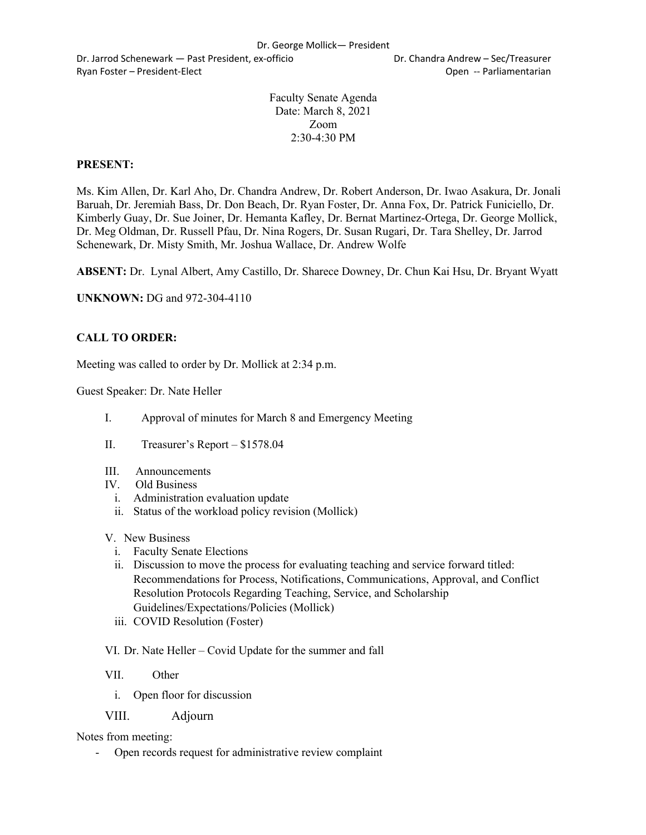Dr. Jarrod Schenewark — Past President, ex-officio Dr. Chandra Andrew – Sec/Treasurer Ryan Foster – President-Elect **Contract Contract Contract Contract Contract Contract Contract Contract Contract Contract Contract Contract Contract Contract Contract Contract Contract Contract Contract Contract Contract Co** 

Faculty Senate Agenda Date: March 8, 2021 Zoom 2:30-4:30 PM

# **PRESENT:**

Ms. Kim Allen, Dr. Karl Aho, Dr. Chandra Andrew, Dr. Robert Anderson, Dr. Iwao Asakura, Dr. Jonali Baruah, Dr. Jeremiah Bass, Dr. Don Beach, Dr. Ryan Foster, Dr. Anna Fox, Dr. Patrick Funiciello, Dr. Kimberly Guay, Dr. Sue Joiner, Dr. Hemanta Kafley, Dr. Bernat Martinez-Ortega, Dr. George Mollick, Dr. Meg Oldman, Dr. Russell Pfau, Dr. Nina Rogers, Dr. Susan Rugari, Dr. Tara Shelley, Dr. Jarrod Schenewark, Dr. Misty Smith, Mr. Joshua Wallace, Dr. Andrew Wolfe

**ABSENT:** Dr. Lynal Albert, Amy Castillo, Dr. Sharece Downey, Dr. Chun Kai Hsu, Dr. Bryant Wyatt

**UNKNOWN:** DG and 972-304-4110

## **CALL TO ORDER:**

Meeting was called to order by Dr. Mollick at 2:34 p.m.

Guest Speaker: Dr. Nate Heller

- I. Approval of minutes for March 8 and Emergency Meeting
- II. Treasurer's Report \$1578.04
- III. Announcements
- IV. Old Business
	- i. Administration evaluation update
	- ii. Status of the workload policy revision (Mollick)
- V. New Business
	- i. Faculty Senate Elections
	- ii. Discussion to move the process for evaluating teaching and service forward titled: Recommendations for Process, Notifications, Communications, Approval, and Conflict Resolution Protocols Regarding Teaching, Service, and Scholarship Guidelines/Expectations/Policies (Mollick)
	- iii. COVID Resolution (Foster)

VI. Dr. Nate Heller – Covid Update for the summer and fall

VII. Other

- i. Open floor for discussion
- VIII. Adjourn

Notes from meeting:

- Open records request for administrative review complaint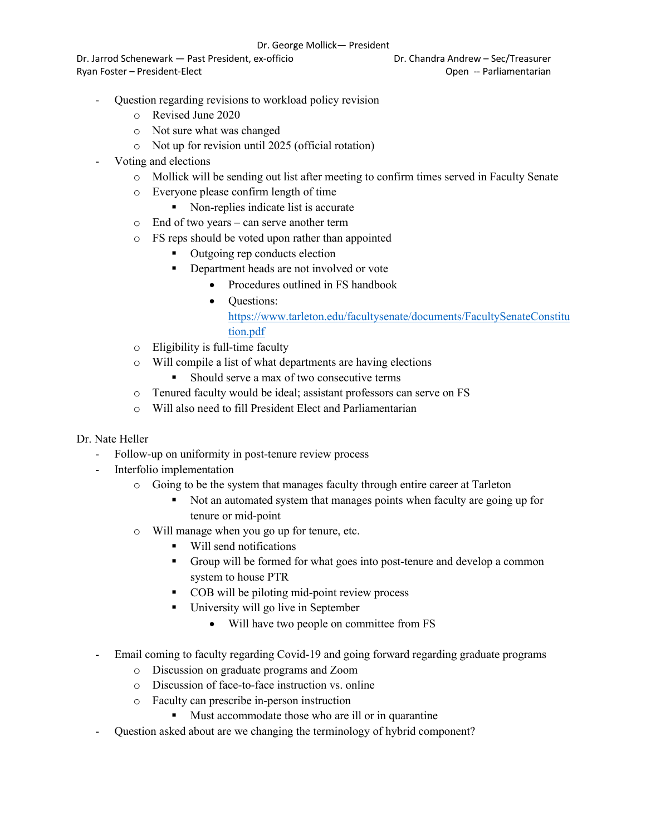#### Dr. George Mollick— President

Dr. Jarrod Schenewark — Past President, ex-officio Dr. Chandra Andrew – Sec/Treasurer Ryan Foster – President-Elect **Contract Contract Contract Contract Contract Contract Contract Contract Contract Contract Contract Contract Contract Contract Contract Contract Contract Contract Contract Contract Contract Co** 

- Question regarding revisions to workload policy revision
	- o Revised June 2020
	- o Not sure what was changed
	- o Not up for revision until 2025 (official rotation)
- Voting and elections
	- o Mollick will be sending out list after meeting to confirm times served in Faculty Senate
	- o Everyone please confirm length of time
		- Non-replies indicate list is accurate
	- o End of two years can serve another term
	- o FS reps should be voted upon rather than appointed
		- Outgoing rep conducts election
		- Department heads are not involved or vote
			- Procedures outlined in FS handbook
			- Ouestions: https://www.tarleton.edu/facultysenate/documents/FacultySenateConstitu tion.pdf
	- o Eligibility is full-time faculty
	- o Will compile a list of what departments are having elections
		- § Should serve a max of two consecutive terms
	- o Tenured faculty would be ideal; assistant professors can serve on FS
	- o Will also need to fill President Elect and Parliamentarian

### Dr. Nate Heller

- Follow-up on uniformity in post-tenure review process
- Interfolio implementation
	- o Going to be the system that manages faculty through entire career at Tarleton
		- Not an automated system that manages points when faculty are going up for tenure or mid-point
	- o Will manage when you go up for tenure, etc.
		- Will send notifications
		- Group will be formed for what goes into post-tenure and develop a common system to house PTR
		- COB will be piloting mid-point review process
		- University will go live in September
			- Will have two people on committee from FS
- Email coming to faculty regarding Covid-19 and going forward regarding graduate programs
	- o Discussion on graduate programs and Zoom
	- o Discussion of face-to-face instruction vs. online
	- o Faculty can prescribe in-person instruction
		- Must accommodate those who are ill or in quarantine
- Question asked about are we changing the terminology of hybrid component?